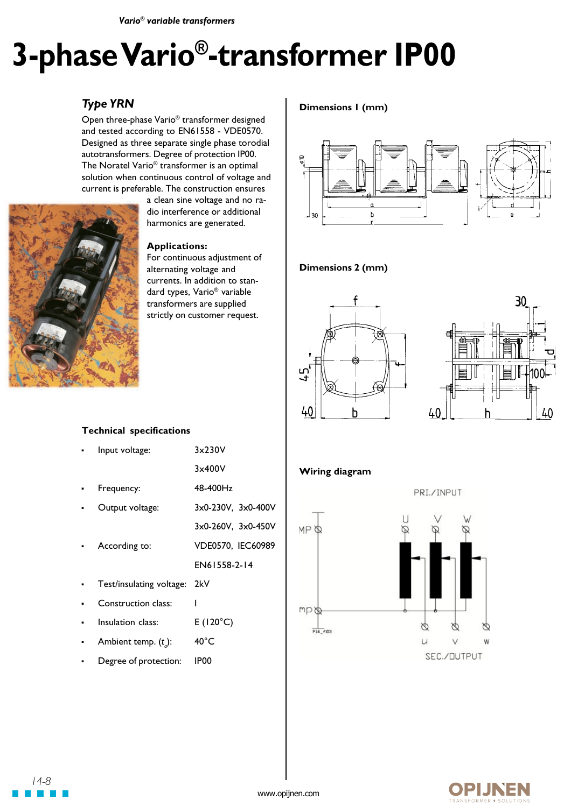*Vario® variable transformers*

# **3-phase Vario®-transformer IP00**

## *Type YRN*

Open three-phase Vario® transformer designed and tested according to EN61558 - VDE0570. Designed as three separate single phase torodial autotransformers. Degree of protection IP00. The Noratel Vario® transformer is an optimal solution when continuous control of voltage and current is preferable. The construction ensures



a clean sine voltage and no radio interference or additional harmonics are generated.

#### **Applications:**

For continuous adjustment of alternating voltage and currents. In addition to standard types, Vario® variable transformers are supplied strictly on customer request.

## **Dimensions 1 (mm)**



### **Dimensions 2 (mm)**





## **Wiring diagram**





## **OPIJNEN**

## **Technical specifications**

| Input voltage:           | 3x230V                   |
|--------------------------|--------------------------|
|                          | 3x400V                   |
| Frequency:               | 48-400Hz                 |
| Output voltage:          | 3x0-230V, 3x0-400V       |
|                          | $3x0-260V$ , $3x0-450V$  |
| According to:            | <b>VDE0570, IEC60989</b> |
|                          | FN61558-2-14             |
| Test/insulating voltage: | 2kV                      |
| Construction class:      | ı                        |
| Insulation class:        | $E(120^{\circ}C)$        |
|                          |                          |

- Ambient temp. (*t a* ): 40°C
- Degree of protection: IP00